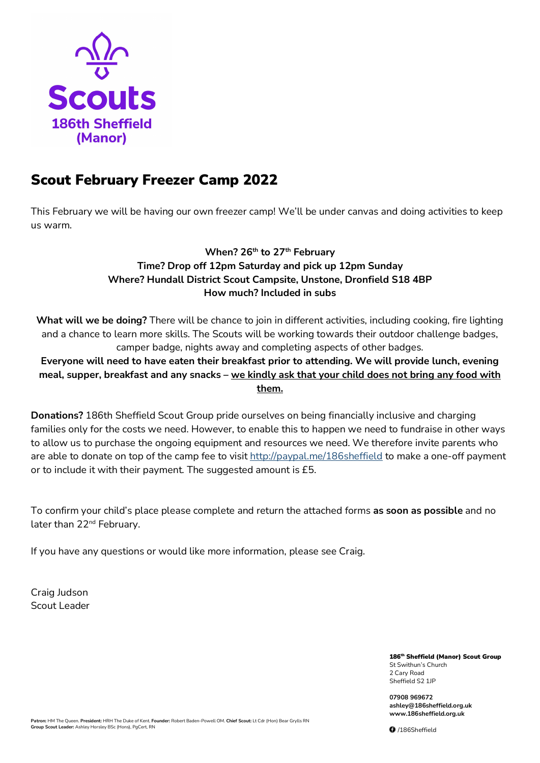

# Scout February Freezer Camp 2022

This February we will be having our own freezer camp! We'll be under canvas and doing activities to keep us warm.

## **When? 26th to 27th February Time? Drop off 12pm Saturday and pick up 12pm Sunday Where? Hundall District Scout Campsite, Unstone, Dronfield S18 4BP How much? Included in subs**

**What will we be doing?** There will be chance to join in different activities, including cooking, fire lighting and a chance to learn more skills. The Scouts will be working towards their outdoor challenge badges, camper badge, nights away and completing aspects of other badges.

**Everyone will need to have eaten their breakfast prior to attending. We will provide lunch, evening meal, supper, breakfast and any snacks – we kindly ask that your child does not bring any food with them.**

**Donations?** 186th Sheffield Scout Group pride ourselves on being financially inclusive and charging families only for the costs we need. However, to enable this to happen we need to fundraise in other ways to allow us to purchase the ongoing equipment and resources we need. We therefore invite parents who are able to donate on top of the camp fee to visi[t http://paypal.me/186sheffield](http://paypal.me/186sheffield) to make a one-off payment or to include it with their payment. The suggested amount is £5.

To confirm your child's place please complete and return the attached forms **as soon as possible** and no later than 22<sup>nd</sup> February.

If you have any questions or would like more information, please see Craig.

Craig Judson Scout Leader

> 186<sup>th</sup> Sheffield (Manor) Scout Group St Swithun's Church 2 Cary Road Sheffield S2 1JP

**07908 969672 ashley@186sheffield.org.uk www.186sheffield.org.uk**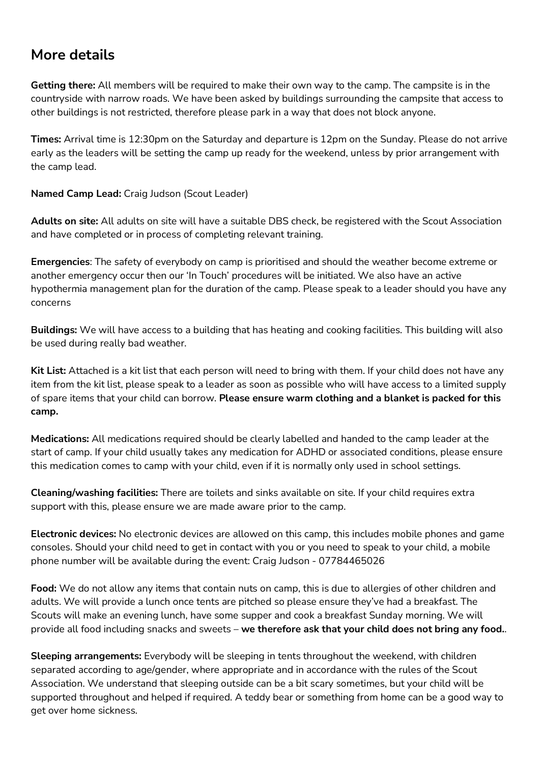# **More details**

**Getting there:** All members will be required to make their own way to the camp. The campsite is in the countryside with narrow roads. We have been asked by buildings surrounding the campsite that access to other buildings is not restricted, therefore please park in a way that does not block anyone.

**Times:** Arrival time is 12:30pm on the Saturday and departure is 12pm on the Sunday. Please do not arrive early as the leaders will be setting the camp up ready for the weekend, unless by prior arrangement with the camp lead.

**Named Camp Lead:** Craig Judson (Scout Leader)

**Adults on site:** All adults on site will have a suitable DBS check, be registered with the Scout Association and have completed or in process of completing relevant training.

**Emergencies**: The safety of everybody on camp is prioritised and should the weather become extreme or another emergency occur then our 'In Touch' procedures will be initiated. We also have an active hypothermia management plan for the duration of the camp. Please speak to a leader should you have any concerns

**Buildings:** We will have access to a building that has heating and cooking facilities. This building will also be used during really bad weather.

**Kit List:** Attached is a kit list that each person will need to bring with them. If your child does not have any item from the kit list, please speak to a leader as soon as possible who will have access to a limited supply of spare items that your child can borrow. **Please ensure warm clothing and a blanket is packed for this camp.**

**Medications:** All medications required should be clearly labelled and handed to the camp leader at the start of camp. If your child usually takes any medication for ADHD or associated conditions, please ensure this medication comes to camp with your child, even if it is normally only used in school settings.

**Cleaning/washing facilities:** There are toilets and sinks available on site. If your child requires extra support with this, please ensure we are made aware prior to the camp.

**Electronic devices:** No electronic devices are allowed on this camp, this includes mobile phones and game consoles. Should your child need to get in contact with you or you need to speak to your child, a mobile phone number will be available during the event: Craig Judson - 07784465026

**Food:** We do not allow any items that contain nuts on camp, this is due to allergies of other children and adults. We will provide a lunch once tents are pitched so please ensure they've had a breakfast. The Scouts will make an evening lunch, have some supper and cook a breakfast Sunday morning. We will provide all food including snacks and sweets – **we therefore ask that your child does not bring any food.**.

**Sleeping arrangements:** Everybody will be sleeping in tents throughout the weekend, with children separated according to age/gender, where appropriate and in accordance with the rules of the Scout Association. We understand that sleeping outside can be a bit scary sometimes, but your child will be supported throughout and helped if required. A teddy bear or something from home can be a good way to get over home sickness.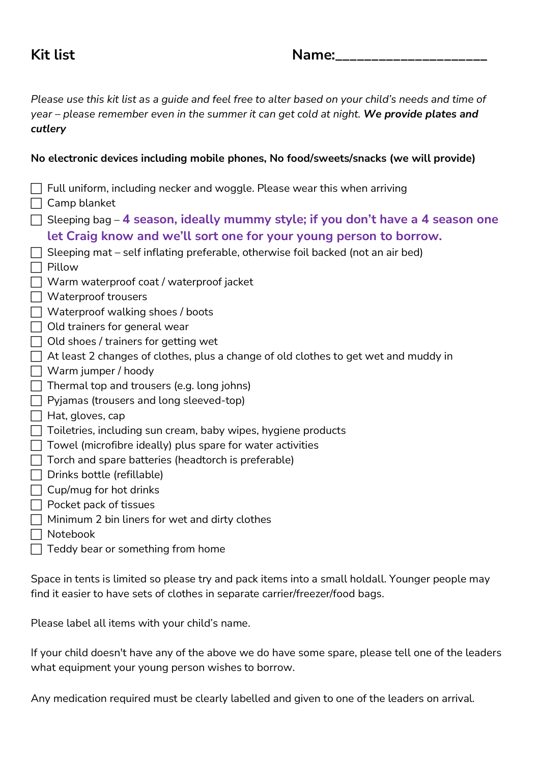## **Kit list Name:**

*Please use this kit list as a guide and feel free to alter based on your child's needs and time of year – please remember even in the summer it can get cold at night. We provide plates and cutlery*

## **No electronic devices including mobile phones, No food/sweets/snacks (we will provide)**

| Full uniform, including necker and woggle. Please wear this when arriving<br>Camp blanket |  |  |
|-------------------------------------------------------------------------------------------|--|--|
| Sleeping bag $-$ 4 season, ideally mummy style; if you don't have a 4 season one          |  |  |
| let Craig know and we'll sort one for your young person to borrow.                        |  |  |
| Sleeping mat – self inflating preferable, otherwise foil backed (not an air bed)          |  |  |
| Pillow                                                                                    |  |  |
| Warm waterproof coat / waterproof jacket                                                  |  |  |
| Waterproof trousers                                                                       |  |  |
| Waterproof walking shoes / boots                                                          |  |  |
| Old trainers for general wear                                                             |  |  |
| Old shoes / trainers for getting wet                                                      |  |  |
| At least 2 changes of clothes, plus a change of old clothes to get wet and muddy in       |  |  |
| Warm jumper / hoody                                                                       |  |  |
| Thermal top and trousers (e.g. long johns)                                                |  |  |
| Pyjamas (trousers and long sleeved-top)                                                   |  |  |
| Hat, gloves, cap                                                                          |  |  |
| Toiletries, including sun cream, baby wipes, hygiene products                             |  |  |
| Towel (microfibre ideally) plus spare for water activities                                |  |  |
| Torch and spare batteries (headtorch is preferable)                                       |  |  |
| Drinks bottle (refillable)                                                                |  |  |
| Cup/mug for hot drinks                                                                    |  |  |
| Pocket pack of tissues                                                                    |  |  |
| Minimum 2 bin liners for wet and dirty clothes                                            |  |  |
| Notebook                                                                                  |  |  |
| Teddy bear or something from home                                                         |  |  |
|                                                                                           |  |  |

Space in tents is limited so please try and pack items into a small holdall. Younger people may find it easier to have sets of clothes in separate carrier/freezer/food bags.

Please label all items with your child's name.

If your child doesn't have any of the above we do have some spare, please tell one of the leaders what equipment your young person wishes to borrow.

Any medication required must be clearly labelled and given to one of the leaders on arrival.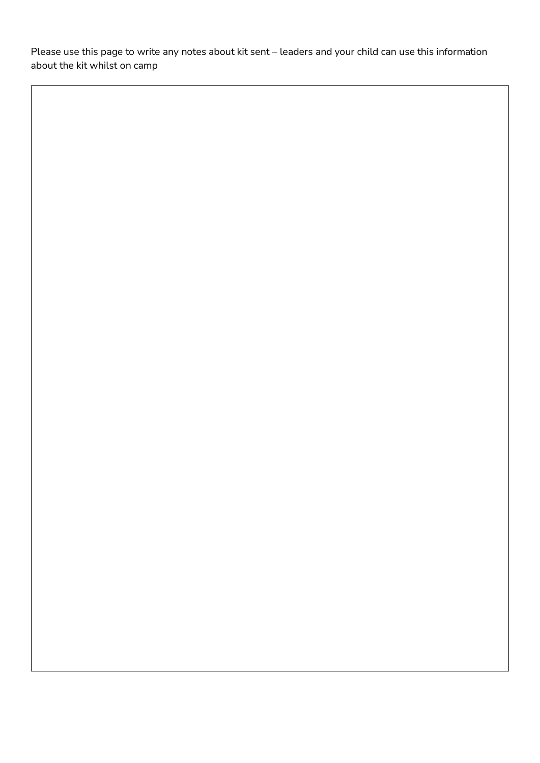Please use this page to write any notes about kit sent – leaders and your child can use this information about the kit whilst on camp